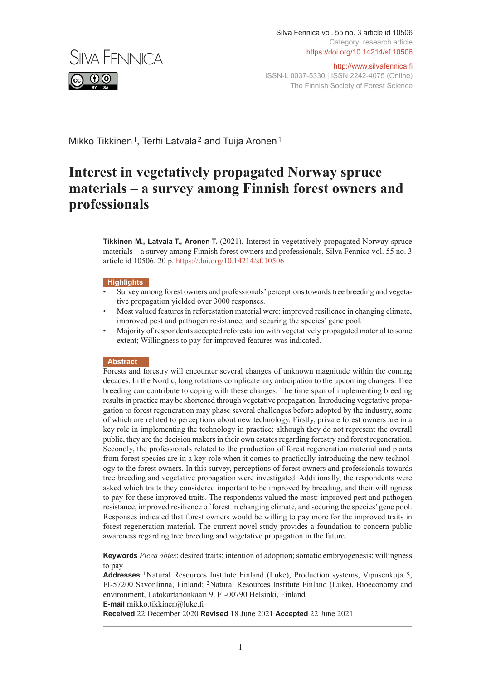

Mikko Tikkinen<sup>1</sup>, Terhi Latvala<sup>2</sup> and Tuija Aronen<sup>1</sup>

# **Interest in vegetatively propagated Norway spruce materials – a survey among Finnish forest owners and professionals**

**Tikkinen M., Latvala T., Aronen T.** (2021). Interest in vegetatively propagated Norway spruce materials – a survey among Finnish forest owners and professionals. Silva Fennica vol. 55 no. 3 article id 10506. 20 p. <https://doi.org/10.14214/sf.10506>

#### **Highlights**

- Survey among forest owners and professionals' perceptions towards tree breeding and vegetative propagation yielded over 3000 responses.
- Most valued features in reforestation material were: improved resilience in changing climate, improved pest and pathogen resistance, and securing the species' gene pool.
- Majority of respondents accepted reforestation with vegetatively propagated material to some extent; Willingness to pay for improved features was indicated.

#### **Abstract**

Forests and forestry will encounter several changes of unknown magnitude within the coming decades. In the Nordic, long rotations complicate any anticipation to the upcoming changes. Tree breeding can contribute to coping with these changes. The time span of implementing breeding results in practice may be shortened through vegetative propagation. Introducing vegetative propagation to forest regeneration may phase several challenges before adopted by the industry, some of which are related to perceptions about new technology. Firstly, private forest owners are in a key role in implementing the technology in practice; although they do not represent the overall public, they are the decision makers in their own estates regarding forestry and forest regeneration. Secondly, the professionals related to the production of forest regeneration material and plants from forest species are in a key role when it comes to practically introducing the new technology to the forest owners. In this survey, perceptions of forest owners and professionals towards tree breeding and vegetative propagation were investigated. Additionally, the respondents were asked which traits they considered important to be improved by breeding, and their willingness to pay for these improved traits. The respondents valued the most: improved pest and pathogen resistance, improved resilience of forest in changing climate, and securing the species' gene pool. Responses indicated that forest owners would be willing to pay more for the improved traits in forest regeneration material. The current novel study provides a foundation to concern public awareness regarding tree breeding and vegetative propagation in the future.

**Keywords** *Picea abies*; desired traits; intention of adoption; somatic embryogenesis; willingness to pay

**Addresses** <sup>1</sup>Natural Resources Institute Finland (Luke), Production systems, Vipusenkuja 5, FI-57200 Savonlinna, Finland; <sup>2</sup>Natural Resources Institute Finland (Luke), Bioeconomy and environment, Latokartanonkaari 9, FI-00790 Helsinki, Finland **E-mail** mikko.tikkinen@luke.fi

**Received** 22 December 2020 **Revised** 18 June 2021 **Accepted** 22 June 2021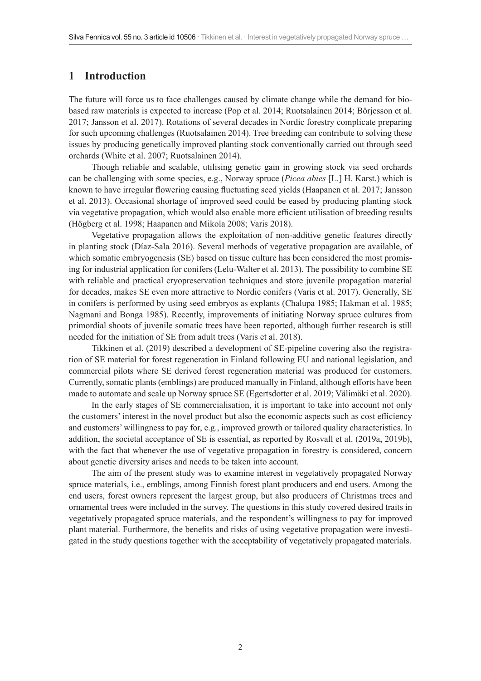# **1 Introduction**

The future will force us to face challenges caused by climate change while the demand for biobased raw materials is expected to increase (Pop et al. 2014; Ruotsalainen 2014; Börjesson et al. 2017; Jansson et al. 2017). Rotations of several decades in Nordic forestry complicate preparing for such upcoming challenges (Ruotsalainen 2014). Tree breeding can contribute to solving these issues by producing genetically improved planting stock conventionally carried out through seed orchards (White et al. 2007; Ruotsalainen 2014).

Though reliable and scalable, utilising genetic gain in growing stock via seed orchards can be challenging with some species, e.g., Norway spruce (*Picea abies* [L.] H. Karst.) which is known to have irregular flowering causing fluctuating seed yields (Haapanen et al. 2017; Jansson et al. 2013). Occasional shortage of improved seed could be eased by producing planting stock via vegetative propagation, which would also enable more efficient utilisation of breeding results (Högberg et al. 1998; Haapanen and Mikola 2008; Varis 2018).

Vegetative propagation allows the exploitation of non-additive genetic features directly in planting stock (Díaz-Sala 2016). Several methods of vegetative propagation are available, of which somatic embryogenesis (SE) based on tissue culture has been considered the most promising for industrial application for conifers (Lelu-Walter et al. 2013). The possibility to combine SE with reliable and practical cryopreservation techniques and store juvenile propagation material for decades, makes SE even more attractive to Nordic conifers (Varis et al. 2017). Generally, SE in conifers is performed by using seed embryos as explants (Chalupa 1985; Hakman et al. 1985; Nagmani and Bonga 1985). Recently, improvements of initiating Norway spruce cultures from primordial shoots of juvenile somatic trees have been reported, although further research is still needed for the initiation of SE from adult trees (Varis et al. 2018).

Tikkinen et al. (2019) described a development of SE-pipeline covering also the registration of SE material for forest regeneration in Finland following EU and national legislation, and commercial pilots where SE derived forest regeneration material was produced for customers. Currently, somatic plants (emblings) are produced manually in Finland, although efforts have been made to automate and scale up Norway spruce SE (Egertsdotter et al. 2019; Välimäki et al. 2020).

In the early stages of SE commercialisation, it is important to take into account not only the customers' interest in the novel product but also the economic aspects such as cost efficiency and customers' willingness to pay for, e.g., improved growth or tailored quality characteristics. In addition, the societal acceptance of SE is essential, as reported by Rosvall et al. (2019a, 2019b), with the fact that whenever the use of vegetative propagation in forestry is considered, concern about genetic diversity arises and needs to be taken into account.

The aim of the present study was to examine interest in vegetatively propagated Norway spruce materials, i.e., emblings, among Finnish forest plant producers and end users. Among the end users, forest owners represent the largest group, but also producers of Christmas trees and ornamental trees were included in the survey. The questions in this study covered desired traits in vegetatively propagated spruce materials, and the respondent's willingness to pay for improved plant material. Furthermore, the benefits and risks of using vegetative propagation were investigated in the study questions together with the acceptability of vegetatively propagated materials.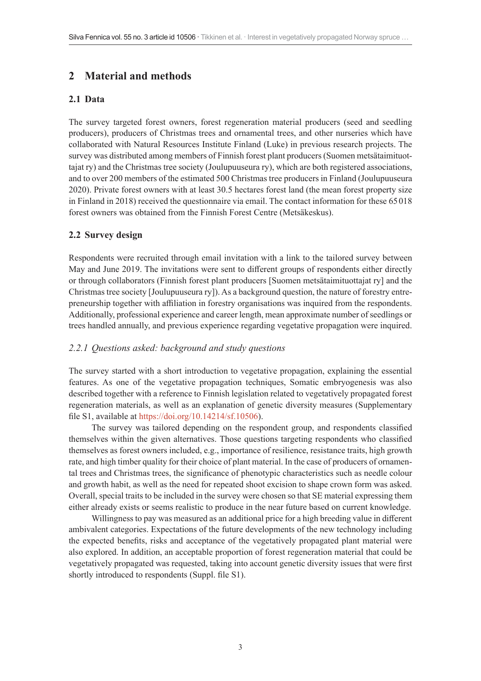# **2 Material and methods**

### **2.1 Data**

The survey targeted forest owners, forest regeneration material producers (seed and seedling producers), producers of Christmas trees and ornamental trees, and other nurseries which have collaborated with Natural Resources Institute Finland (Luke) in previous research projects. The survey was distributed among members of Finnish forest plant producers (Suomen metsätaimituottajat ry) and the Christmas tree society (Joulupuuseura ry), which are both registered associations, and to over 200 members of the estimated 500 Christmas tree producers in Finland (Joulupuuseura 2020). Private forest owners with at least 30.5 hectares forest land (the mean forest property size in Finland in 2018) received the questionnaire via email. The contact information for these 65018 forest owners was obtained from the Finnish Forest Centre (Metsäkeskus).

### **2.2 Survey design**

Respondents were recruited through email invitation with a link to the tailored survey between May and June 2019. The invitations were sent to different groups of respondents either directly or through collaborators (Finnish forest plant producers [Suomen metsätaimituottajat ry] and the Christmas tree society [Joulupuuseura ry]). As a background question, the nature of forestry entrepreneurship together with affiliation in forestry organisations was inquired from the respondents. Additionally, professional experience and career length, mean approximate number of seedlings or trees handled annually, and previous experience regarding vegetative propagation were inquired.

#### *2.2.1 Questions asked: background and study questions*

The survey started with a short introduction to vegetative propagation, explaining the essential features. As one of the vegetative propagation techniques, Somatic embryogenesis was also described together with a reference to Finnish legislation related to vegetatively propagated forest regeneration materials, as well as an explanation of genetic diversity measures (Supplementary file S1, available at <https://doi.org/10.14214/sf.10506>).

The survey was tailored depending on the respondent group, and respondents classified themselves within the given alternatives. Those questions targeting respondents who classified themselves as forest owners included, e.g., importance of resilience, resistance traits, high growth rate, and high timber quality for their choice of plant material. In the case of producers of ornamental trees and Christmas trees, the significance of phenotypic characteristics such as needle colour and growth habit, as well as the need for repeated shoot excision to shape crown form was asked. Overall, special traits to be included in the survey were chosen so that SE material expressing them either already exists or seems realistic to produce in the near future based on current knowledge.

Willingness to pay was measured as an additional price for a high breeding value in different ambivalent categories. Expectations of the future developments of the new technology including the expected benefits, risks and acceptance of the vegetatively propagated plant material were also explored. In addition, an acceptable proportion of forest regeneration material that could be vegetatively propagated was requested, taking into account genetic diversity issues that were first shortly introduced to respondents (Suppl. file S1).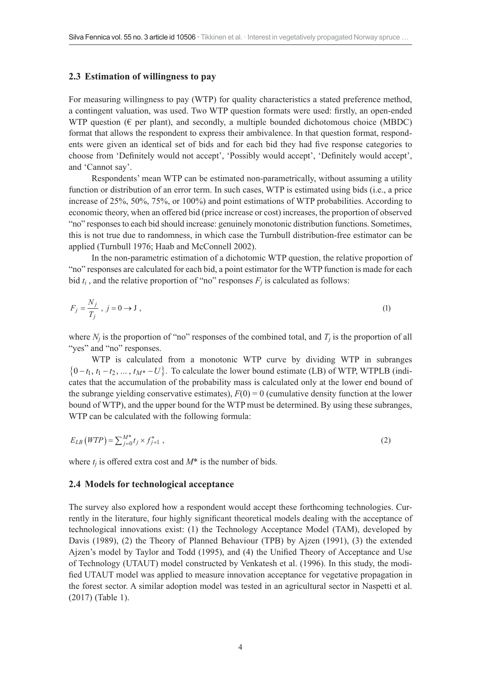#### **2.3 Estimation of willingness to pay**

For measuring willingness to pay (WTP) for quality characteristics a stated preference method, a contingent valuation, was used. Two WTP question formats were used: firstly, an open-ended WTP question ( $\epsilon$  per plant), and secondly, a multiple bounded dichotomous choice (MBDC) format that allows the respondent to express their ambivalence. In that question format, respondents were given an identical set of bids and for each bid they had five response categories to choose from 'Definitely would not accept', 'Possibly would accept', 'Definitely would accept', and 'Cannot say'.

Respondents' mean WTP can be estimated non-parametrically, without assuming a utility function or distribution of an error term. In such cases, WTP is estimated using bids (i.e., a price increase of 25%, 50%, 75%, or 100%) and point estimations of WTP probabilities. According to economic theory, when an offered bid (price increase or cost) increases, the proportion of observed "no" responses to each bid should increase: genuinely monotonic distribution functions. Sometimes, this is not true due to randomness, in which case the Turnbull distribution-free estimator can be applied (Turnbull 1976; Haab and McConnell 2002).

In the non-parametric estimation of a dichotomic WTP question, the relative proportion of "no" responses are calculated for each bid, a point estimator for the WTP function is made for each bid  $t_i$ , and the relative proportion of "no" responses  $F_i$  is calculated as follows:

$$
F_j = \frac{N_j}{T_j}, \ j = 0 \to J \tag{1}
$$

where  $N_i$  is the proportion of "no" responses of the combined total, and  $T_i$  is the proportion of all "yes" and "no" responses.

WTP is calculated from a monotonic WTP curve by dividing WTP in subranges  $\{0 - t_1, t_1 - t_2, \dots, t_{M^*} - U\}$ . To calculate the lower bound estimate (LB) of WTP, WTPLB (indicates that the accumulation of the probability mass is calculated only at the lower end bound of the subrange yielding conservative estimates),  $F(0) = 0$  (cumulative density function at the lower bound of WTP), and the upper bound for the WTP must be determined. By using these subranges, WTP can be calculated with the following formula:

$$
E_{LB}(WTP) = \sum_{j=0}^{M^*} t_j \times f_{j+1}^* \tag{2}
$$

where  $t_i$  is offered extra cost and  $M^*$  is the number of bids.

#### **2.4 Models for technological acceptance**

The survey also explored how a respondent would accept these forthcoming technologies. Currently in the literature, four highly significant theoretical models dealing with the acceptance of technological innovations exist: (1) the Technology Acceptance Model (TAM), developed by Davis (1989), (2) the Theory of Planned Behaviour (TPB) by Ajzen (1991), (3) the extended Ajzen's model by Taylor and Todd (1995), and (4) the Unified Theory of Acceptance and Use of Technology (UTAUT) model constructed by Venkatesh et al. (1996). In this study, the modified UTAUT model was applied to measure innovation acceptance for vegetative propagation in the forest sector. A similar adoption model was tested in an agricultural sector in Naspetti et al. (2017) (Table 1).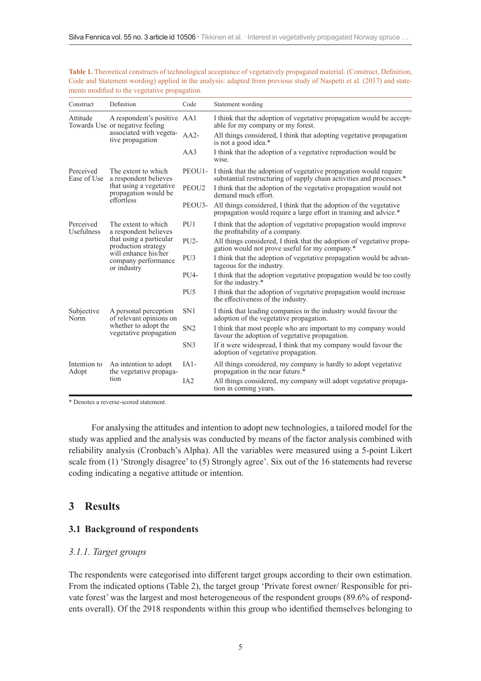| Construct                | Definition                                                                                                                                                   | Code              | Statement wording                                                                                                                         |
|--------------------------|--------------------------------------------------------------------------------------------------------------------------------------------------------------|-------------------|-------------------------------------------------------------------------------------------------------------------------------------------|
| Attitude                 | A respondent's positive AA1<br>Towards Use or negative feeling<br>associated with vegeta-<br>tive propagation                                                |                   | I think that the adoption of vegetative propagation would be accept-<br>able for my company or my forest.                                 |
|                          |                                                                                                                                                              | $AA2-$            | All things considered, I think that adopting vegetative propagation<br>is not a good idea.*                                               |
|                          |                                                                                                                                                              | AA3               | I think that the adoption of a vegetative reproduction would be<br>wise.                                                                  |
| Perceived<br>Ease of Use | The extent to which<br>a respondent believes<br>that using a vegetative<br>propagation would be<br>effortless                                                | PEOU1-            | I think that the adoption of vegetative propagation would require<br>substantial restructuring of supply chain activities and processes.* |
|                          |                                                                                                                                                              | PEOU <sub>2</sub> | I think that the adoption of the vegetative propagation would not<br>demand much effort.                                                  |
|                          |                                                                                                                                                              | PEOU3-            | All things considered, I think that the adoption of the vegetative<br>propagation would require a large effort in training and advice.*   |
| Perceived<br>Usefulness  | The extent to which<br>a respondent believes<br>that using a particular<br>production strategy<br>will enhance his/her<br>company performance<br>or industry | PU1               | I think that the adoption of vegetative propagation would improve<br>the profitability of a company.                                      |
|                          |                                                                                                                                                              | PU <sub>2</sub> - | All things considered, I think that the adoption of vegetative propa-<br>gation would not prove useful for my company.*                   |
|                          |                                                                                                                                                              | PU <sub>3</sub>   | I think that the adoption of vegetative propagation would be advan-<br>tageous for the industry.                                          |
|                          |                                                                                                                                                              | PU <sub>4</sub> - | I think that the adoption vegetative propagation would be too costly<br>for the industry.*                                                |
|                          |                                                                                                                                                              | PU <sub>5</sub>   | I think that the adoption of vegetative propagation would increase<br>the effectiveness of the industry.                                  |
| Subjective<br>Norm       | A personal perception<br>of relevant opinions on<br>whether to adopt the<br>vegetative propagation                                                           | SN <sub>1</sub>   | I think that leading companies in the industry would favour the<br>adoption of the vegetative propagation.                                |
|                          |                                                                                                                                                              | SN <sub>2</sub>   | I think that most people who are important to my company would<br>favour the adoption of vegetative propagation.                          |
|                          |                                                                                                                                                              | SN <sub>3</sub>   | If it were widespread, I think that my company would favour the<br>adoption of vegetative propagation.                                    |
| Intention to<br>Adopt    | An intention to adopt<br>the vegetative propaga-<br>tion                                                                                                     | $IA1-$            | All things considered, my company is hardly to adopt vegetative<br>propagation in the near future.*                                       |
|                          |                                                                                                                                                              | IA2               | All things considered, my company will adopt vegetative propaga-<br>tion in coming years.                                                 |

**Table 1.** Theoretical constructs of technological acceptance of vegetatively propagated material. (Construct, Definition, Code and Statement wording) applied in the analysis: adapted from previous study of Naspetti et al. (2017) and statements modified to the vegetative propagation.

\* Denotes a reverse-scored statement.

For analysing the attitudes and intention to adopt new technologies, a tailored model for the study was applied and the analysis was conducted by means of the factor analysis combined with reliability analysis (Cronbach's Alpha). All the variables were measured using a 5-point Likert scale from (1) 'Strongly disagree' to (5) Strongly agree'. Six out of the 16 statements had reverse coding indicating a negative attitude or intention.

# **3 Results**

#### **3.1 Background of respondents**

#### *3.1.1. Target groups*

The respondents were categorised into different target groups according to their own estimation. From the indicated options (Table 2), the target group 'Private forest owner/ Responsible for private forest' was the largest and most heterogeneous of the respondent groups (89.6% of respondents overall). Of the 2918 respondents within this group who identified themselves belonging to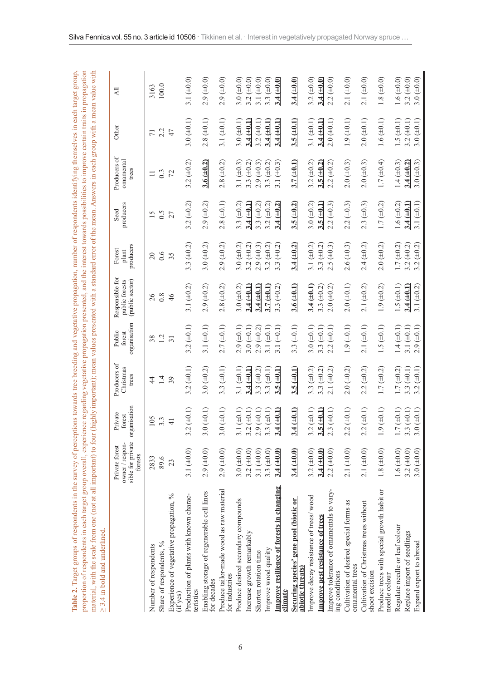| $\geq$ 3.4 in bold and underlined.                          |                                                                   |                                              |                                    |                                  |                                                      |                                 |                   |                                     |                        |                                      |
|-------------------------------------------------------------|-------------------------------------------------------------------|----------------------------------------------|------------------------------------|----------------------------------|------------------------------------------------------|---------------------------------|-------------------|-------------------------------------|------------------------|--------------------------------------|
|                                                             | sible for private<br>owner / respon-<br>Private forest<br>forests | organisation<br>Private<br>forest            | Producers of<br>Christmas<br>trees | organisation<br>Public<br>forest | Responsible for<br>(public sector)<br>public forests | producers<br>Forest<br>plant    | producers<br>Seed | Producers of<br>ornamental<br>trees | Other                  | $\overline{AB}$                      |
| Number of respondents                                       | 2833                                                              | 105                                          | $\frac{4}{3}$                      | 38                               | 26                                                   | $20\,$                          | 15                |                                     | $\overline{71}$        | 3163                                 |
| Share of respondents, %                                     | 89.6                                                              | $3.\overline{3}$                             | 1.4                                | 1.2                              | 0.8                                                  | 0.6                             | $rac{5}{27}$      | $\frac{3}{7}$                       | $2.\overline{2}$<br>47 | 100.0                                |
| Experience of vegetative propagation, %<br>(if yes)         | 23                                                                | $\frac{4}{1}$                                |                                    |                                  | 46                                                   | 35                              |                   |                                     |                        |                                      |
| Production of plants with known charac-<br>teristics        | 3.1 $(+0.0)$                                                      | $(\pm 0.1)$<br>3.2                           | 3.2 $(\pm 0.1)$                    | 3.2 $(\pm 0.1)$                  | 3.1 $(\pm 0.2)$                                      | 3.3 $(\pm 0.2)$                 | $3.2 (\pm 0.2)$   | $3.2 (\pm 0.2)$                     | 3.0 $(\pm 0.1)$        | 3.1 $(\pm 0.0)$                      |
| Enabling storage of regenerable cell lines<br>for decades   | $2.9 (\pm 0.0)$                                                   | $(\pm 0.1)$<br>3.0                           | 3.0 $(\pm 0.2)$                    | 3.1 $(\pm 0.1)$                  | $2.9 (\pm 0.2)$                                      | 3.0 $(\pm 0.2)$                 | $2.9 (\pm 0.2)$   | 3.6 (10.2)                          | $2.8 (\pm 0.1)$        | $2.9 (\pm 0.0)$                      |
| Produce tailor-made wood as raw material<br>for industries  | $2.9 (\pm 0.0)$                                                   | $(\pm 0.1)$<br>3.0                           | 3.3 $(\pm 0.1)$                    | $2.7 (\pm 0.1)$                  | $2.8 (\pm 0.2)$                                      | $2.9 (\pm 0.2)$                 | $2.8 (\pm 0.1)$   | $2.8 (\pm 0.2)$                     | 3.1 $(\pm 0.1)$        | $2.9$ ( $\pm 0.0$ )                  |
| Produce desired secondary compounds                         | 3.0 ( $\pm$ 0.0)                                                  | $(\pm 0.1)$<br>3.1                           | 3.1 $(\pm 0.1)$                    | $2.9 (\pm 0.1)$                  | 3.0 $(\pm 0.2)$                                      | $3.0 (\pm 0.2)$                 | 3.3 $(\pm 0.2)$   | 3.1 $(\pm 0.3)$                     | $3.0 (\pm 0.1)$        | 3.0 $(\pm 0.0)$                      |
| Increase growth remarkably                                  | 3.2 ( $\pm$ 0.0)                                                  | $(\pm 0.1)$<br>3.2                           | $3.4 (\pm 0.1)$                    | $3.0 (\pm 0.1)$                  | $3.4 (\pm 0.1)$                                      | 3.2 $(\pm 0.2)$                 | $3.4 (\pm 0.1)$   | 3.3 ( $\pm$ 0.2)                    | $3.4 (\pm 0.1)$        | $3.2 (\pm 0.0)$                      |
| Shorten rotation time                                       | 3.1 $(\pm 0.0)$                                                   | $(\pm 0.1)$<br>2.9                           | 3.3 $(\pm 0.2)$                    | $2.9 (\pm 0.2)$                  | $3.4 (\pm 0.1)$                                      | $2.9 (\pm 0.3)$                 | 3.3 $(\pm 0.2)$   | $2.9 (\pm 0.3)$                     | $3.2 (\pm 0.1)$        | 3.1 $(\pm 0.0)$                      |
| Improve wood quality                                        | 3.3 ( $\pm$ 0.0)                                                  | $(\pm 0.1)$<br>3.3                           | 3.3 $(\pm 0.1)$                    | 3.1 $(\pm 0.1)$                  | $3.7 (\pm 0.1)$                                      | 3.2 $(\pm 0.2)$                 | 3.2 $(\pm 0.2)$   | 3.3 $(\pm 0.2)$                     | $3.4 (\pm 0.1)$        | 3.3 ( $\pm$ 0.0)                     |
| Improve resilience of forests in changing<br><u>climate</u> | $3.4 (\pm 0.0)$                                                   | (1.0)<br>3.4                                 | $3.5 (\pm 0.1)$                    | 3.1 $(\pm 0.1)$                  | 3.3 $(\pm 0.2)$                                      | $(\pm 0.2)$<br>$3.\overline{3}$ | $3.4 (\pm 0.2)$   | 3.1 $(\pm 0.3)$                     | $3.4 (\pm 0.1)$        | $3.4 (\pm 0.0)$                      |
| Securing species' gene pool (biotic or<br>abiotic threats   | $3.4 (\pm 0.0)$                                                   | $\underline{\text{L0+1}}$<br>$\frac{3.4}{ }$ | $3.5 (\pm 0.1)$                    | 3.3 $(\pm 0.1)$                  | $3.6 (\pm 0.1)$                                      | $3.4 (\pm 0.2)$                 | 3.5 (10.2)        | $3.7 (\pm 0.1)$                     | $3.5 (\pm 0.1)$        | $3.4 (\pm 0.0)$                      |
| Improve decay resistance of trees/wood                      | 3.2 $(\pm 0.0)$                                                   | $(\pm 0.1)$<br>3.2                           | 3.3 $(\pm 0.2)$                    | $3.0 (\pm 0.1)$                  | $3.4 (\pm 0.1)$                                      | 3.1 $(\pm 0.2)$                 | 3.0 $(\pm 0.2)$   | 3.2 $(\pm 0.2)$                     | 3.1 $(\pm 0.1)$        | 3.2 $(\pm 0.0)$                      |
| <b>Improve pest resistance of trees</b>                     | $3.4 (\pm 0.0)$                                                   | $\underline{\pm 0.1}$<br>3.5                 | 3.3 $(\pm 0.2)$                    | 3.3 $(\pm 0.1)$                  | 3.3 $(\pm 0.2)$                                      | 3.3 $(\pm 0.2)$                 | 3.5 (± 0.1        | $3.5 \ (\pm 0.2)$                   | $3.4 (\pm 0.1)$        | $3.4 (\pm 0.0)$                      |
| Improve tolerance of ornamentals to vary-<br>ing conditions | $2.2 (\pm 0.0)$                                                   | $(\pm 0.1)$<br>2.3                           | $2.1 (\pm 0.2)$                    | $2.2 (\pm 0.1)$                  | 2.0 (10.2)                                           | $2.5 (\pm 0.3)$                 | $2.2 (\pm 0.3)$   | $2.2 (\pm 0.2)$                     | $2.0 (\pm 0.1)$        | $2.2 (\pm 0.0)$                      |
| Cultivation of desired special forms as<br>ornamental trees | $2.1 (\pm 0.0)$                                                   | $(\pm 0.1)$<br>2.2                           | $2.0 (\pm 0.2)$                    | $1.9 (\pm 0.1)$                  | $2.0 (\pm 0.1)$                                      | $2.6 (\pm 0.3)$                 | $2.2 (\pm 0.3)$   | $2.0 (\pm 0.3)$                     | $1.9 (\pm 0.1)$        | $2.1 (\pm 0.0)$                      |
| Cultivation of Christmas trees without<br>shoot excision    | 2.1 $(+0.0)$                                                      | $(\pm 0.1)$<br>2.2                           | $2.2 (\pm 0.2)$                    | $2.1 (\pm 0.1)$                  | 2.1 $(\pm 0.2)$                                      | $2.4 (\pm 0.2)$                 | $2.3 (\pm 0.3)$   | $2.0 (\pm 0.3)$                     | $2.0 (\pm 0.1)$        | 2.1 ( $\pm$ 0.0)                     |
| Produce trees with special growth habit or<br>needle colour | $1.8 (\pm 0.0)$                                                   | $(\pm 0.1)$<br>1.9                           | $1.7 (\pm 0.2)$                    | 1.5 $(\pm 0.1)$                  | $1.9 (\pm 0.2)$                                      | $2.0 (\pm 0.2)$                 | $1.7 (\pm 0.2)$   | $1.7 (\pm 0.4)$                     | 1.6 $(\pm 0.1)$        | $1.8 (\pm 0.0)$                      |
| Regulate needle or leaf colour                              | 1.6 ( $\pm$ 0.0)                                                  | $(\pm 0.1)$<br>$\overline{1.1}$              | $1.7 (\pm 0.2)$                    | $1.4 (\pm 0.1)$                  | 1.5 $(\pm 0.1)$                                      | $1.7 (\pm 0.2)$                 | $1.6 (\pm 0.2)$   | $1.4 (\pm 0.3)$                     | 1.5 $(\pm 0.1)$        |                                      |
| Replace import of seedlings                                 | 3.2 ( $\pm$ 0.0)                                                  | $(\pm 0.1)$<br>3.3                           | 3.3 $(\pm 0.1)$                    | 3.1 $(\pm 0.1)$                  | $3.4 (\pm 0.1)$                                      | 3.2 $(\pm 0.2)$                 | $3.4 (\pm 0.1)$   | $3.4 (\pm 0.2)$                     | 3.2 $(\pm 0.1)$        | 1.6 ( $\pm$ 0.0)<br>3.2 ( $\pm$ 0.0) |
| Expand export to abroad                                     | 3.0 $(\pm 0.0)$                                                   | $(\pm 0.1)$<br>3.0                           | 3.2 $(\pm 0.1)$                    | $2.9 (\pm 0.1)$                  | 3.1 $(\pm 0.2)$                                      | 3.2 ( $\pm$ 0.2)                | 3.1 $(\pm 0.1)$   | $3.0 (\pm 0.3)$                     | $3.0 (\pm 0.1)$        | 3.0 ( $\pm$ 0.0)                     |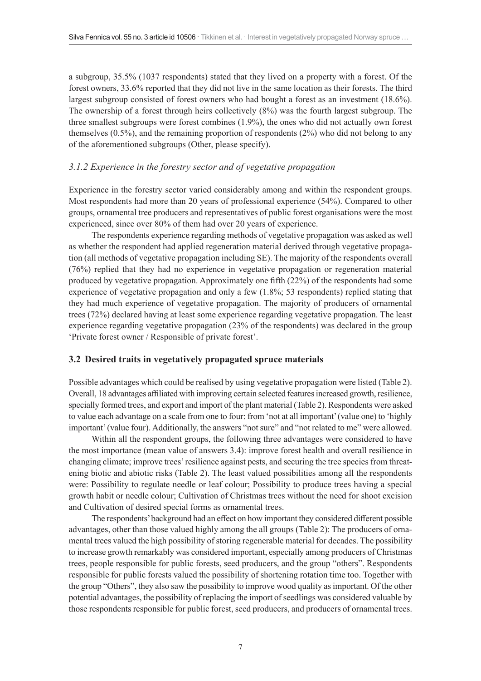a subgroup, 35.5% (1037 respondents) stated that they lived on a property with a forest. Of the forest owners, 33.6% reported that they did not live in the same location as their forests. The third largest subgroup consisted of forest owners who had bought a forest as an investment (18.6%). The ownership of a forest through heirs collectively (8%) was the fourth largest subgroup. The three smallest subgroups were forest combines (1.9%), the ones who did not actually own forest themselves (0.5%), and the remaining proportion of respondents (2%) who did not belong to any of the aforementioned subgroups (Other, please specify).

#### *3.1.2 Experience in the forestry sector and of vegetative propagation*

Experience in the forestry sector varied considerably among and within the respondent groups. Most respondents had more than 20 years of professional experience (54%). Compared to other groups, ornamental tree producers and representatives of public forest organisations were the most experienced, since over 80% of them had over 20 years of experience.

The respondents experience regarding methods of vegetative propagation was asked as well as whether the respondent had applied regeneration material derived through vegetative propagation (all methods of vegetative propagation including SE). The majority of the respondents overall (76%) replied that they had no experience in vegetative propagation or regeneration material produced by vegetative propagation. Approximately one fifth (22%) of the respondents had some experience of vegetative propagation and only a few (1.8%; 53 respondents) replied stating that they had much experience of vegetative propagation. The majority of producers of ornamental trees (72%) declared having at least some experience regarding vegetative propagation. The least experience regarding vegetative propagation (23% of the respondents) was declared in the group 'Private forest owner / Responsible of private forest'.

#### **3.2 Desired traits in vegetatively propagated spruce materials**

Possible advantages which could be realised by using vegetative propagation were listed (Table 2). Overall, 18 advantages affiliated with improving certain selected features increased growth, resilience, specially formed trees, and export and import of the plant material (Table 2). Respondents were asked to value each advantage on a scale from one to four: from 'not at all important' (value one) to 'highly important' (value four). Additionally, the answers "not sure" and "not related to me" were allowed.

Within all the respondent groups, the following three advantages were considered to have the most importance (mean value of answers 3.4): improve forest health and overall resilience in changing climate; improve trees' resilience against pests, and securing the tree species from threatening biotic and abiotic risks (Table 2). The least valued possibilities among all the respondents were: Possibility to regulate needle or leaf colour; Possibility to produce trees having a special growth habit or needle colour; Cultivation of Christmas trees without the need for shoot excision and Cultivation of desired special forms as ornamental trees.

The respondents' background had an effect on how important they considered different possible advantages, other than those valued highly among the all groups (Table 2): The producers of ornamental trees valued the high possibility of storing regenerable material for decades. The possibility to increase growth remarkably was considered important, especially among producers of Christmas trees, people responsible for public forests, seed producers, and the group "others". Respondents responsible for public forests valued the possibility of shortening rotation time too. Together with the group "Others", they also saw the possibility to improve wood quality as important. Of the other potential advantages, the possibility of replacing the import of seedlings was considered valuable by those respondents responsible for public forest, seed producers, and producers of ornamental trees.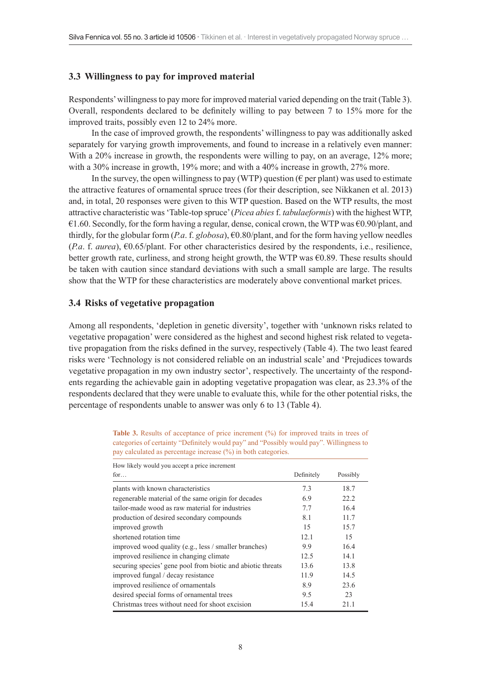#### **3.3 Willingness to pay for improved material**

Respondents' willingness to pay more for improved material varied depending on the trait (Table 3). Overall, respondents declared to be definitely willing to pay between 7 to 15% more for the improved traits, possibly even 12 to 24% more.

In the case of improved growth, the respondents' willingness to pay was additionally asked separately for varying growth improvements, and found to increase in a relatively even manner: With a 20% increase in growth, the respondents were willing to pay, on an average, 12% more; with a 30% increase in growth, 19% more; and with a 40% increase in growth, 27% more.

In the survey, the open willingness to pay (WTP) question ( $\epsilon$  per plant) was used to estimate the attractive features of ornamental spruce trees (for their description, see Nikkanen et al. 2013) and, in total, 20 responses were given to this WTP question. Based on the WTP results, the most attractive characteristic was 'Table-top spruce' (*Picea abies*f. *tabulaeformis*) with the highest WTP, €1.60. Secondly, for the form having a regular, dense, conical crown, the WTP was €0.90/plant, and thirdly, for the globular form (*P.a*. f. *globosa*), €0.80/plant, and for the form having yellow needles (*P.a. f. aurea*),  $\epsilon$ 0.65/plant. For other characteristics desired by the respondents, i.e., resilience, better growth rate, curliness, and strong height growth, the WTP was  $\epsilon$ 0.89. These results should be taken with caution since standard deviations with such a small sample are large. The results show that the WTP for these characteristics are moderately above conventional market prices.

#### **3.4 Risks of vegetative propagation**

Among all respondents, 'depletion in genetic diversity', together with 'unknown risks related to vegetative propagation' were considered as the highest and second highest risk related to vegetative propagation from the risks defined in the survey, respectively (Table 4). The two least feared risks were 'Technology is not considered reliable on an industrial scale' and 'Prejudices towards vegetative propagation in my own industry sector', respectively. The uncertainty of the respondents regarding the achievable gain in adopting vegetative propagation was clear, as 23.3% of the respondents declared that they were unable to evaluate this, while for the other potential risks, the percentage of respondents unable to answer was only 6 to 13 (Table 4).

| Definitely | Possibly |
|------------|----------|
| 7.3        | 18.7     |
| 6.9        | 22.2     |
| 7.7        | 16.4     |
| 8.1        | 11.7     |
| 15         | 15.7     |
| 12.1       | 15       |
| 9.9        | 16.4     |
| 12.5       | 14.1     |
| 13.6       | 13.8     |
| 11.9       | 14.5     |
| 8.9        | 23.6     |
| 9.5        | 23       |
| 15.4       | 21.1     |
|            |          |

Table 3. Results of acceptance of price increment (%) for improved traits in trees of categories of certainty "Definitely would pay" and "Possibly would pay". Willingness to pay calculated as percentage increase (%) in both categories.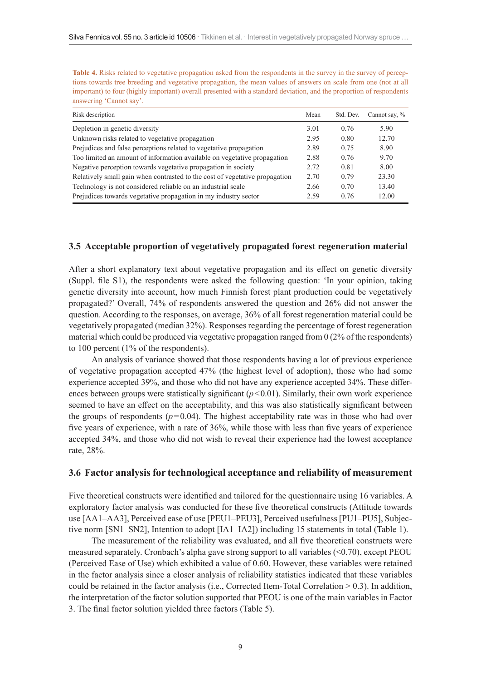**Table 4.** Risks related to vegetative propagation asked from the respondents in the survey in the survey of perceptions towards tree breeding and vegetative propagation, the mean values of answers on scale from one (not at all important) to four (highly important) overall presented with a standard deviation, and the proportion of respondents answering 'Cannot say'.

| Risk description                                                            | Mean | Std. Dev. | Cannot say, % |
|-----------------------------------------------------------------------------|------|-----------|---------------|
| Depletion in genetic diversity                                              | 3.01 | 0.76      | 5.90          |
| Unknown risks related to vegetative propagation                             | 2.95 | 0.80      | 12.70         |
| Prejudices and false perceptions related to vegetative propagation          | 2.89 | 0.75      | 8.90          |
| Too limited an amount of information available on vegetative propagation    | 2.88 | 0.76      | 9.70          |
| Negative perception towards vegetative propagation in society               | 2.72 | 0.81      | 8.00          |
| Relatively small gain when contrasted to the cost of vegetative propagation | 2.70 | 0.79      | 23.30         |
| Technology is not considered reliable on an industrial scale                | 2.66 | 0.70      | 13.40         |
| Prejudices towards vegetative propagation in my industry sector             | 2.59 | 0.76      | 12.00         |

#### **3.5 Acceptable proportion of vegetatively propagated forest regeneration material**

After a short explanatory text about vegetative propagation and its effect on genetic diversity (Suppl. file S1), the respondents were asked the following question: 'In your opinion, taking genetic diversity into account, how much Finnish forest plant production could be vegetatively propagated?' Overall, 74% of respondents answered the question and 26% did not answer the question. According to the responses, on average, 36% of all forest regeneration material could be vegetatively propagated (median 32%). Responses regarding the percentage of forest regeneration material which could be produced via vegetative propagation ranged from 0 (2% of the respondents) to 100 percent (1% of the respondents).

An analysis of variance showed that those respondents having a lot of previous experience of vegetative propagation accepted 47% (the highest level of adoption), those who had some experience accepted 39%, and those who did not have any experience accepted 34%. These differences between groups were statistically significant  $(p<0.01)$ . Similarly, their own work experience seemed to have an effect on the acceptability, and this was also statistically significant between the groups of respondents  $(p=0.04)$ . The highest acceptability rate was in those who had over five years of experience, with a rate of 36%, while those with less than five years of experience accepted 34%, and those who did not wish to reveal their experience had the lowest acceptance rate, 28%.

#### **3.6 Factor analysis for technological acceptance and reliability of measurement**

Five theoretical constructs were identified and tailored for the questionnaire using 16 variables. A exploratory factor analysis was conducted for these five theoretical constructs (Attitude towards use [AA1–AA3], Perceived ease of use [PEU1–PEU3], Perceived usefulness [PU1–PU5], Subjective norm [SN1–SN2], Intention to adopt [IA1–IA2]) including 15 statements in total (Table 1).

The measurement of the reliability was evaluated, and all five theoretical constructs were measured separately. Cronbach's alpha gave strong support to all variables (<0.70), except PEOU (Perceived Ease of Use) which exhibited a value of 0.60. However, these variables were retained in the factor analysis since a closer analysis of reliability statistics indicated that these variables could be retained in the factor analysis (i.e., Corrected Item-Total Correlation  $> 0.3$ ). In addition, the interpretation of the factor solution supported that PEOU is one of the main variables in Factor 3. The final factor solution yielded three factors (Table 5).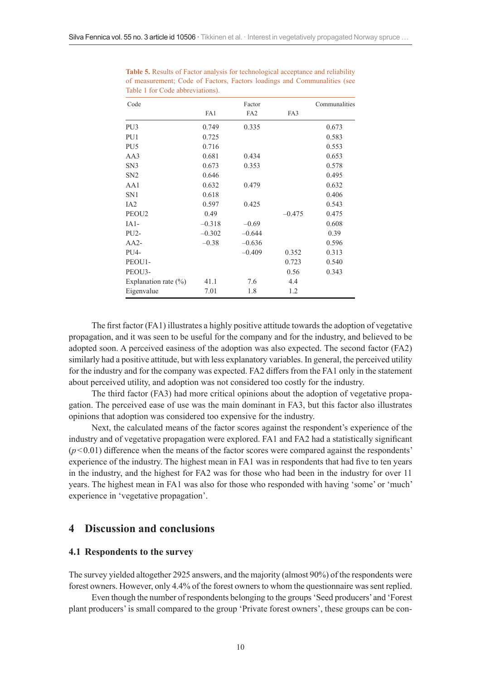| Code                    |          | Factor          |          | Communalities |
|-------------------------|----------|-----------------|----------|---------------|
|                         | FA1      | FA <sub>2</sub> | FA3      |               |
| PU <sub>3</sub>         | 0.749    | 0.335           |          | 0.673         |
| PU1                     | 0.725    |                 |          | 0.583         |
| PU <sub>5</sub>         | 0.716    |                 |          | 0.553         |
| AA3                     | 0.681    | 0.434           |          | 0.653         |
| SN <sub>3</sub>         | 0.673    | 0.353           |          | 0.578         |
| SN <sub>2</sub>         | 0.646    |                 |          | 0.495         |
| AA1                     | 0.632    | 0.479           |          | 0.632         |
| SN <sub>1</sub>         | 0.618    |                 |          | 0.406         |
| IA <sub>2</sub>         | 0.597    | 0.425           |          | 0.543         |
| PEOU <sub>2</sub>       | 0.49     |                 | $-0.475$ | 0.475         |
| $IA1-$                  | $-0.318$ | $-0.69$         |          | 0.608         |
| $PU2-$                  | $-0.302$ | $-0.644$        |          | 0.39          |
| $AA2-$                  | $-0.38$  | $-0.636$        |          | 0.596         |
| PU <sub>4</sub> -       |          | $-0.409$        | 0.352    | 0.313         |
| PEOU1-                  |          |                 | 0.723    | 0.540         |
| PEOU3-                  |          |                 | 0.56     | 0.343         |
| Explanation rate $(\%)$ | 41.1     | 7.6             | 4.4      |               |
| Eigenvalue              | 7.01     | 1.8             | 1.2      |               |

**Table 5.** Results of Factor analysis for technological acceptance and reliability of measurement; Code of Factors, Factors loadings and Communalities (see Table 1 for Code abbreviations).

The first factor (FA1) illustrates a highly positive attitude towards the adoption of vegetative propagation, and it was seen to be useful for the company and for the industry, and believed to be adopted soon. A perceived easiness of the adoption was also expected. The second factor (FA2) similarly had a positive attitude, but with less explanatory variables. In general, the perceived utility for the industry and for the company was expected. FA2 differs from the FA1 only in the statement about perceived utility, and adoption was not considered too costly for the industry.

The third factor (FA3) had more critical opinions about the adoption of vegetative propagation. The perceived ease of use was the main dominant in FA3, but this factor also illustrates opinions that adoption was considered too expensive for the industry.

Next, the calculated means of the factor scores against the respondent's experience of the industry and of vegetative propagation were explored. FA1 and FA2 had a statistically significant  $(p<0.01)$  difference when the means of the factor scores were compared against the respondents' experience of the industry. The highest mean in FA1 was in respondents that had five to ten years in the industry, and the highest for FA2 was for those who had been in the industry for over 11 years. The highest mean in FA1 was also for those who responded with having 'some' or 'much' experience in 'vegetative propagation'.

### **4 Discussion and conclusions**

#### **4.1 Respondents to the survey**

The survey yielded altogether 2925 answers, and the majority (almost 90%) of the respondents were forest owners. However, only 4.4% of the forest owners to whom the questionnaire was sent replied.

Even though the number of respondents belonging to the groups 'Seed producers' and 'Forest plant producers' is small compared to the group 'Private forest owners', these groups can be con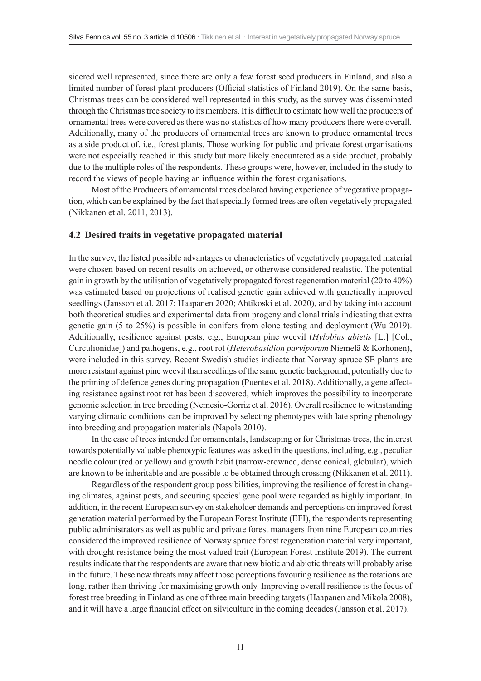sidered well represented, since there are only a few forest seed producers in Finland, and also a limited number of forest plant producers (Official statistics of Finland 2019). On the same basis, Christmas trees can be considered well represented in this study, as the survey was disseminated through the Christmas tree society to its members. It is difficult to estimate how well the producers of ornamental trees were covered as there was no statistics of how many producers there were overall. Additionally, many of the producers of ornamental trees are known to produce ornamental trees as a side product of, i.e., forest plants. Those working for public and private forest organisations were not especially reached in this study but more likely encountered as a side product, probably due to the multiple roles of the respondents. These groups were, however, included in the study to record the views of people having an influence within the forest organisations.

Most of the Producers of ornamental trees declared having experience of vegetative propagation, which can be explained by the fact that specially formed trees are often vegetatively propagated (Nikkanen et al. 2011, 2013).

#### **4.2 Desired traits in vegetative propagated material**

In the survey, the listed possible advantages or characteristics of vegetatively propagated material were chosen based on recent results on achieved, or otherwise considered realistic. The potential gain in growth by the utilisation of vegetatively propagated forest regeneration material (20 to 40%) was estimated based on projections of realised genetic gain achieved with genetically improved seedlings (Jansson et al. 2017; Haapanen 2020; Ahtikoski et al. 2020), and by taking into account both theoretical studies and experimental data from progeny and clonal trials indicating that extra genetic gain (5 to 25%) is possible in conifers from clone testing and deployment (Wu 2019). Additionally, resilience against pests, e.g., European pine weevil (*Hylobius abietis* [L.] [Col., Curculionidae]) and pathogens, e.g., root rot (*Heterobasidion parviporum* Niemelä & Korhonen), were included in this survey. Recent Swedish studies indicate that Norway spruce SE plants are more resistant against pine weevil than seedlings of the same genetic background, potentially due to the priming of defence genes during propagation (Puentes et al. 2018). Additionally, a gene affecting resistance against root rot has been discovered, which improves the possibility to incorporate genomic selection in tree breeding (Nemesio-Gorriz et al. 2016). Overall resilience to withstanding varying climatic conditions can be improved by selecting phenotypes with late spring phenology into breeding and propagation materials (Napola 2010).

In the case of trees intended for ornamentals, landscaping or for Christmas trees, the interest towards potentially valuable phenotypic features was asked in the questions, including, e.g., peculiar needle colour (red or yellow) and growth habit (narrow-crowned, dense conical, globular), which are known to be inheritable and are possible to be obtained through crossing (Nikkanen et al. 2011).

Regardless of the respondent group possibilities, improving the resilience of forest in changing climates, against pests, and securing species' gene pool were regarded as highly important. In addition, in the recent European survey on stakeholder demands and perceptions on improved forest generation material performed by the European Forest Institute (EFI), the respondents representing public administrators as well as public and private forest managers from nine European countries considered the improved resilience of Norway spruce forest regeneration material very important, with drought resistance being the most valued trait (European Forest Institute 2019). The current results indicate that the respondents are aware that new biotic and abiotic threats will probably arise in the future. These new threats may affect those perceptions favouring resilience as the rotations are long, rather than thriving for maximising growth only. Improving overall resilience is the focus of forest tree breeding in Finland as one of three main breeding targets (Haapanen and Mikola 2008), and it will have a large financial effect on silviculture in the coming decades (Jansson et al. 2017).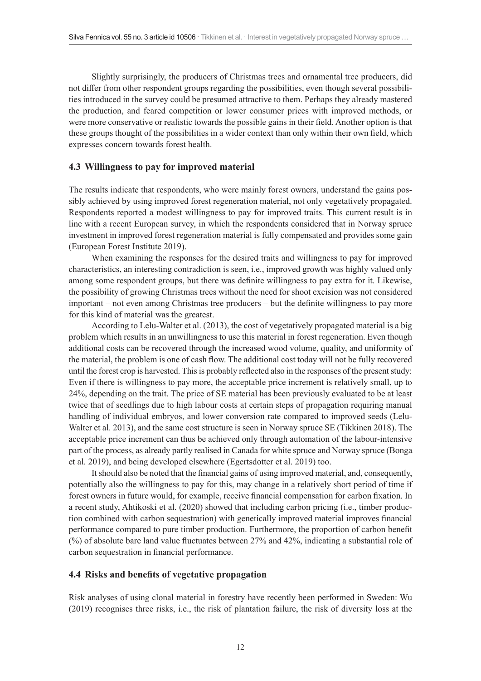Slightly surprisingly, the producers of Christmas trees and ornamental tree producers, did not differ from other respondent groups regarding the possibilities, even though several possibilities introduced in the survey could be presumed attractive to them. Perhaps they already mastered the production, and feared competition or lower consumer prices with improved methods, or were more conservative or realistic towards the possible gains in their field. Another option is that these groups thought of the possibilities in a wider context than only within their own field, which expresses concern towards forest health.

#### **4.3 Willingness to pay for improved material**

The results indicate that respondents, who were mainly forest owners, understand the gains possibly achieved by using improved forest regeneration material, not only vegetatively propagated. Respondents reported a modest willingness to pay for improved traits. This current result is in line with a recent European survey, in which the respondents considered that in Norway spruce investment in improved forest regeneration material is fully compensated and provides some gain (European Forest Institute 2019).

When examining the responses for the desired traits and willingness to pay for improved characteristics, an interesting contradiction is seen, i.e., improved growth was highly valued only among some respondent groups, but there was definite willingness to pay extra for it. Likewise, the possibility of growing Christmas trees without the need for shoot excision was not considered important – not even among Christmas tree producers – but the definite willingness to pay more for this kind of material was the greatest.

According to Lelu-Walter et al. (2013), the cost of vegetatively propagated material is a big problem which results in an unwillingness to use this material in forest regeneration. Even though additional costs can be recovered through the increased wood volume, quality, and uniformity of the material, the problem is one of cash flow. The additional cost today will not be fully recovered until the forest crop is harvested. This is probably reflected also in the responses of the present study: Even if there is willingness to pay more, the acceptable price increment is relatively small, up to 24%, depending on the trait. The price of SE material has been previously evaluated to be at least twice that of seedlings due to high labour costs at certain steps of propagation requiring manual handling of individual embryos, and lower conversion rate compared to improved seeds (Lelu-Walter et al. 2013), and the same cost structure is seen in Norway spruce SE (Tikkinen 2018). The acceptable price increment can thus be achieved only through automation of the labour-intensive part of the process, as already partly realised in Canada for white spruce and Norway spruce (Bonga et al. 2019), and being developed elsewhere (Egertsdotter et al. 2019) too.

It should also be noted that the financial gains of using improved material, and, consequently, potentially also the willingness to pay for this, may change in a relatively short period of time if forest owners in future would, for example, receive financial compensation for carbon fixation. In a recent study, Ahtikoski et al. (2020) showed that including carbon pricing (i.e., timber production combined with carbon sequestration) with genetically improved material improves financial performance compared to pure timber production. Furthermore, the proportion of carbon benefit (%) of absolute bare land value fluctuates between 27% and 42%, indicating a substantial role of carbon sequestration in financial performance.

#### **4.4 Risks and benefits of vegetative propagation**

Risk analyses of using clonal material in forestry have recently been performed in Sweden: Wu (2019) recognises three risks, i.e., the risk of plantation failure, the risk of diversity loss at the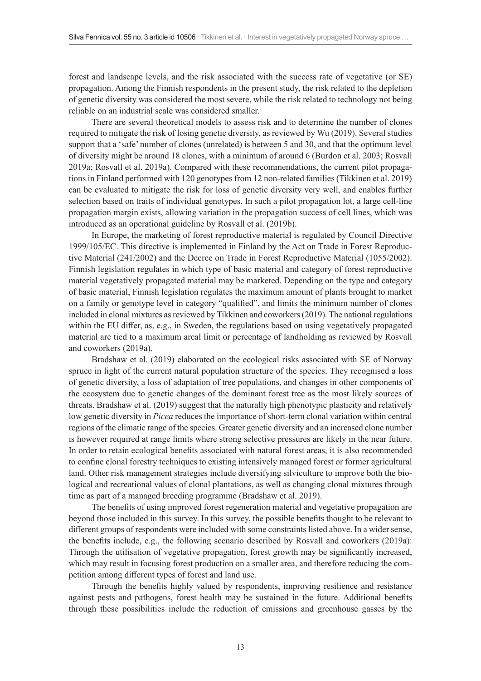forest and landscape levels, and the risk associated with the success rate of vegetative (or SE) propagation. Among the Finnish respondents in the present study, the risk related to the depletion of genetic diversity was considered the most severe, while the risk related to technology not being reliable on an industrial scale was considered smaller.

There are several theoretical models to assess risk and to determine the number of clones required to mitigate the risk of losing genetic diversity, as reviewed by Wu (2019). Several studies support that a 'safe' number of clones (unrelated) is between 5 and 30, and that the optimum level of diversity might be around 18 clones, with a minimum of around 6 (Burdon et al. 2003; Rosvall 2019a; Rosvall et al. 2019a). Compared with these recommendations, the current pilot propagations in Finland performed with 120 genotypes from 12 non-related families (Tikkinen et al. 2019) can be evaluated to mitigate the risk for loss of genetic diversity very well, and enables further selection based on traits of individual genotypes. In such a pilot propagation lot, a large cell-line propagation margin exists, allowing variation in the propagation success of cell lines, which was introduced as an operational guideline by Rosvall et al. (2019b).

In Europe, the marketing of forest reproductive material is regulated by Council Directive 1999/105/EC. This directive is implemented in Finland by the Act on Trade in Forest Reproductive Material (241/2002) and the Decree on Trade in Forest Reproductive Material (1055/2002). Finnish legislation regulates in which type of basic material and category of forest reproductive material vegetatively propagated material may be marketed. Depending on the type and category of basic material, Finnish legislation regulates the maximum amount of plants brought to market on a family or genotype level in category "qualified", and limits the minimum number of clones included in clonal mixtures as reviewed by Tikkinen and coworkers (2019). The national regulations within the EU differ, as, e.g., in Sweden, the regulations based on using vegetatively propagated material are tied to a maximum areal limit or percentage of landholding as reviewed by Rosvall and coworkers (2019a).

Bradshaw et al. (2019) elaborated on the ecological risks associated with SE of Norway spruce in light of the current natural population structure of the species. They recognised a loss of genetic diversity, a loss of adaptation of tree populations, and changes in other components of the ecosystem due to genetic changes of the dominant forest tree as the most likely sources of threats. Bradshaw et al. (2019) suggest that the naturally high phenotypic plasticity and relatively low genetic diversity in *Picea* reduces the importance of short-term clonal variation within central regions of the climatic range of the species. Greater genetic diversity and an increased clone number is however required at range limits where strong selective pressures are likely in the near future. In order to retain ecological benefits associated with natural forest areas, it is also recommended to confine clonal forestry techniques to existing intensively managed forest or former agricultural land. Other risk management strategies include diversifying silviculture to improve both the biological and recreational values of clonal plantations, as well as changing clonal mixtures through time as part of a managed breeding programme (Bradshaw et al. 2019).

The benefits of using improved forest regeneration material and vegetative propagation are beyond those included in this survey. In this survey, the possible benefits thought to be relevant to different groups of respondents were included with some constraints listed above. In a wider sense, the benefits include, e.g., the following scenario described by Rosvall and coworkers (2019a): Through the utilisation of vegetative propagation, forest growth may be significantly increased, which may result in focusing forest production on a smaller area, and therefore reducing the competition among different types of forest and land use.

Through the benefits highly valued by respondents, improving resilience and resistance against pests and pathogens, forest health may be sustained in the future. Additional benefits through these possibilities include the reduction of emissions and greenhouse gasses by the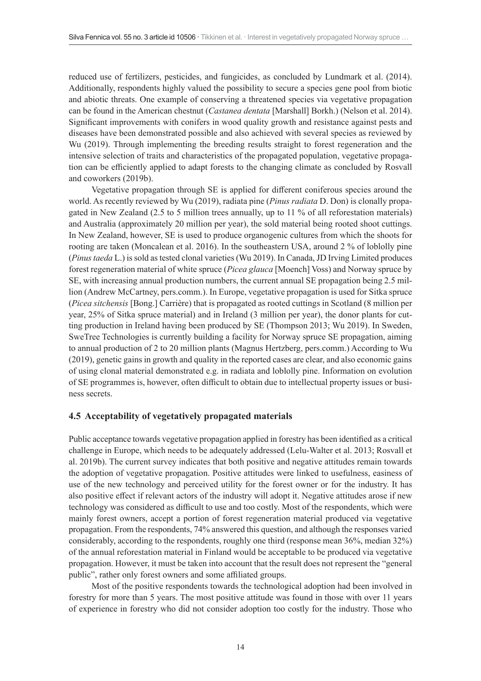reduced use of fertilizers, pesticides, and fungicides, as concluded by Lundmark et al. (2014). Additionally, respondents highly valued the possibility to secure a species gene pool from biotic and abiotic threats. One example of conserving a threatened species via vegetative propagation can be found in the American chestnut (*Castanea dentata* [Marshall] Borkh.) (Nelson et al. 2014). Significant improvements with conifers in wood quality growth and resistance against pests and diseases have been demonstrated possible and also achieved with several species as reviewed by Wu (2019). Through implementing the breeding results straight to forest regeneration and the intensive selection of traits and characteristics of the propagated population, vegetative propagation can be efficiently applied to adapt forests to the changing climate as concluded by Rosvall and coworkers (2019b).

Vegetative propagation through SE is applied for different coniferous species around the world. As recently reviewed by Wu (2019), radiata pine (*Pinus radiata* D. Don) is clonally propagated in New Zealand (2.5 to 5 million trees annually, up to 11 % of all reforestation materials) and Australia (approximately 20 million per year), the sold material being rooted shoot cuttings. In New Zealand, however, SE is used to produce organogenic cultures from which the shoots for rooting are taken (Moncalean et al. 2016). In the southeastern USA, around 2 % of loblolly pine (*Pinus taeda* L.) is sold as tested clonal varieties (Wu 2019). In Canada, JD Irving Limited produces forest regeneration material of white spruce (*Picea glauca* [Moench] Voss) and Norway spruce by SE, with increasing annual production numbers, the current annual SE propagation being 2.5 million (Andrew McCartney, pers.comm.). In Europe, vegetative propagation is used for Sitka spruce (*Picea sitchensis* [Bong.] Carrière) that is propagated as rooted cuttings in Scotland (8 million per year, 25% of Sitka spruce material) and in Ireland (3 million per year), the donor plants for cutting production in Ireland having been produced by SE (Thompson 2013; Wu 2019). In Sweden, SweTree Technologies is currently building a facility for Norway spruce SE propagation, aiming to annual production of 2 to 20 million plants (Magnus Hertzberg, pers.comm.) According to Wu (2019), genetic gains in growth and quality in the reported cases are clear, and also economic gains of using clonal material demonstrated e.g. in radiata and loblolly pine. Information on evolution of SE programmes is, however, often difficult to obtain due to intellectual property issues or business secrets.

### **4.5 Acceptability of vegetatively propagated materials**

Public acceptance towards vegetative propagation applied in forestry has been identified as a critical challenge in Europe, which needs to be adequately addressed (Lelu-Walter et al. 2013; Rosvall et al. 2019b). The current survey indicates that both positive and negative attitudes remain towards the adoption of vegetative propagation. Positive attitudes were linked to usefulness, easiness of use of the new technology and perceived utility for the forest owner or for the industry. It has also positive effect if relevant actors of the industry will adopt it. Negative attitudes arose if new technology was considered as difficult to use and too costly. Most of the respondents, which were mainly forest owners, accept a portion of forest regeneration material produced via vegetative propagation. From the respondents, 74% answered this question, and although the responses varied considerably, according to the respondents, roughly one third (response mean 36%, median 32%) of the annual reforestation material in Finland would be acceptable to be produced via vegetative propagation. However, it must be taken into account that the result does not represent the "general public", rather only forest owners and some affiliated groups.

Most of the positive respondents towards the technological adoption had been involved in forestry for more than 5 years. The most positive attitude was found in those with over 11 years of experience in forestry who did not consider adoption too costly for the industry. Those who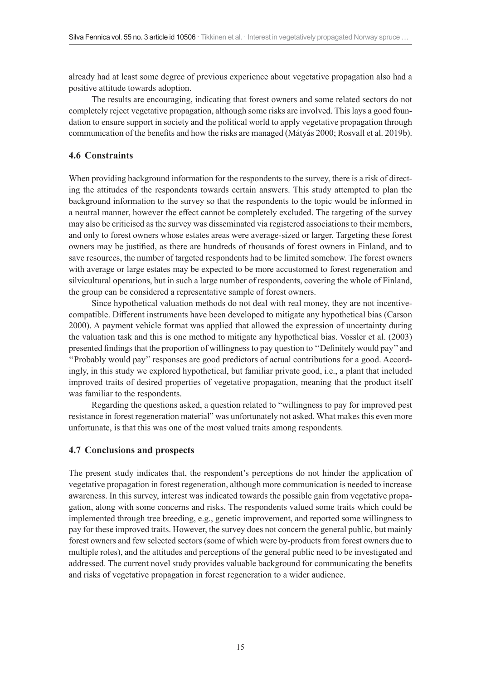already had at least some degree of previous experience about vegetative propagation also had a positive attitude towards adoption.

The results are encouraging, indicating that forest owners and some related sectors do not completely reject vegetative propagation, although some risks are involved. This lays a good foundation to ensure support in society and the political world to apply vegetative propagation through communication of the benefits and how the risks are managed (Mátyás 2000; Rosvall et al. 2019b).

### **4.6 Constraints**

When providing background information for the respondents to the survey, there is a risk of directing the attitudes of the respondents towards certain answers. This study attempted to plan the background information to the survey so that the respondents to the topic would be informed in a neutral manner, however the effect cannot be completely excluded. The targeting of the survey may also be criticised as the survey was disseminated via registered associations to their members, and only to forest owners whose estates areas were average-sized or larger. Targeting these forest owners may be justified, as there are hundreds of thousands of forest owners in Finland, and to save resources, the number of targeted respondents had to be limited somehow. The forest owners with average or large estates may be expected to be more accustomed to forest regeneration and silvicultural operations, but in such a large number of respondents, covering the whole of Finland, the group can be considered a representative sample of forest owners.

Since hypothetical valuation methods do not deal with real money, they are not incentivecompatible. Different instruments have been developed to mitigate any hypothetical bias (Carson 2000). A payment vehicle format was applied that allowed the expression of uncertainty during the valuation task and this is one method to mitigate any hypothetical bias. Vossler et al. (2003) presented findings that the proportion of willingness to pay question to ''Definitely would pay'' and ''Probably would pay'' responses are good predictors of actual contributions for a good. Accordingly, in this study we explored hypothetical, but familiar private good, i.e., a plant that included improved traits of desired properties of vegetative propagation, meaning that the product itself was familiar to the respondents.

Regarding the questions asked, a question related to "willingness to pay for improved pest resistance in forest regeneration material" was unfortunately not asked. What makes this even more unfortunate, is that this was one of the most valued traits among respondents.

#### **4.7 Conclusions and prospects**

The present study indicates that, the respondent's perceptions do not hinder the application of vegetative propagation in forest regeneration, although more communication is needed to increase awareness. In this survey, interest was indicated towards the possible gain from vegetative propagation, along with some concerns and risks. The respondents valued some traits which could be implemented through tree breeding, e.g., genetic improvement, and reported some willingness to pay for these improved traits. However, the survey does not concern the general public, but mainly forest owners and few selected sectors (some of which were by-products from forest owners due to multiple roles), and the attitudes and perceptions of the general public need to be investigated and addressed. The current novel study provides valuable background for communicating the benefits and risks of vegetative propagation in forest regeneration to a wider audience.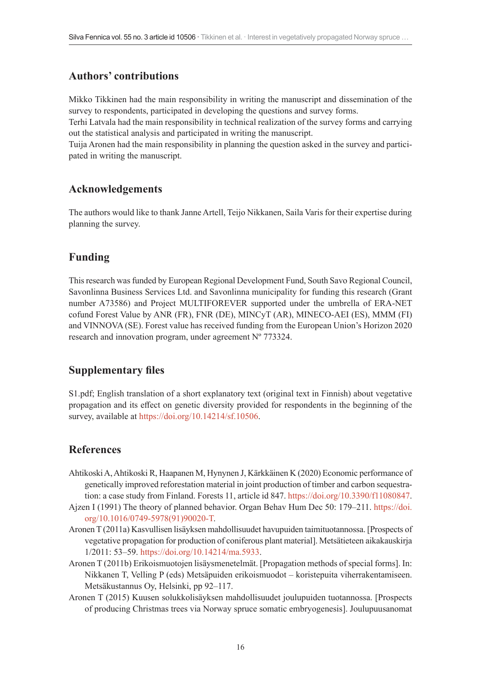# **Authors' contributions**

Mikko Tikkinen had the main responsibility in writing the manuscript and dissemination of the survey to respondents, participated in developing the questions and survey forms.

Terhi Latvala had the main responsibility in technical realization of the survey forms and carrying out the statistical analysis and participated in writing the manuscript.

Tuija Aronen had the main responsibility in planning the question asked in the survey and participated in writing the manuscript.

# **Acknowledgements**

The authors would like to thank Janne Artell, Teijo Nikkanen, Saila Varis for their expertise during planning the survey.

# **Funding**

This research was funded by European Regional Development Fund, South Savo Regional Council, Savonlinna Business Services Ltd. and Savonlinna municipality for funding this research (Grant number A73586) and Project MULTIFOREVER supported under the umbrella of ERA-NET cofund Forest Value by ANR (FR), FNR (DE), MINCyT (AR), MINECO-AEI (ES), MMM (FI) and VINNOVA (SE). Forest value has received funding from the European Union's Horizon 2020 research and innovation program, under agreement Nº 773324.

# **Supplementary files**

S1.pdf; English translation of a short explanatory text (original text in Finnish) about vegetative propagation and its effect on genetic diversity provided for respondents in the beginning of the survey, available at [https://doi.org/10.14214/sf.10506.](https://doi.org/10.14214/sf.10506)

# **References**

- Ahtikoski A, Ahtikoski R, Haapanen M, Hynynen J, Kärkkäinen K (2020) Economic performance of genetically improved reforestation material in joint production of timber and carbon sequestration: a case study from Finland. Forests 11, article id 847. <https://doi.org/10.3390/f11080847>.
- Ajzen I (1991) The theory of planned behavior. Organ Behav Hum Dec 50: 179–211. [https://doi.](https://doi.org/10.1016/0749-5978(91)90020-T) [org/10.1016/0749-5978\(91\)90020-T](https://doi.org/10.1016/0749-5978(91)90020-T).
- Aronen T (2011a) Kasvullisen lisäyksen mahdollisuudet havupuiden taimituotannossa. [Prospects of vegetative propagation for production of coniferous plant material]. Metsätieteen aikakauskirja 1/2011: 53–59. <https://doi.org/10.14214/ma.5933>.
- Aronen T (2011b) Erikoismuotojen lisäysmenetelmät. [Propagation methods of special forms]. In: Nikkanen T, Velling P (eds) Metsäpuiden erikoismuodot – koristepuita viherrakentamiseen. Metsäkustannus Oy, Helsinki, pp 92–117.
- Aronen T (2015) Kuusen solukkolisäyksen mahdollisuudet joulupuiden tuotannossa. [Prospects of producing Christmas trees via Norway spruce somatic embryogenesis]. Joulupuusanomat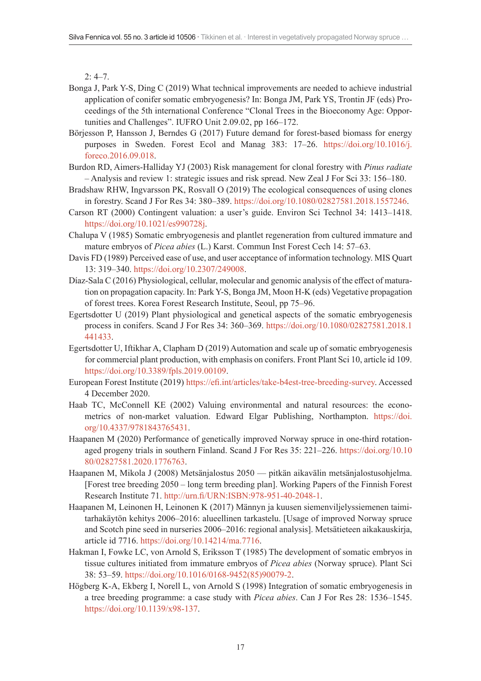$2: 4 - 7.$ 

- Bonga J, Park Y-S, Ding C (2019) What technical improvements are needed to achieve industrial application of conifer somatic embryogenesis? In: Bonga JM, Park YS, Trontin JF (eds) Proceedings of the 5th international Conference "Clonal Trees in the Bioeconomy Age: Opportunities and Challenges". IUFRO Unit 2.09.02, pp 166–172.
- Börjesson P, Hansson J, Berndes G (2017) Future demand for forest-based biomass for energy purposes in Sweden. Forest Ecol and Manag 383: 17–26. [https://doi.org/10.1016/j.](https://doi.org/10.1016/j.foreco.2016.09.018) [foreco.2016.09.018.](https://doi.org/10.1016/j.foreco.2016.09.018)
- Burdon RD, Aimers-Halliday YJ (2003) Risk management for clonal forestry with *Pinus radiate* – Analysis and review 1: strategic issues and risk spread. New Zeal J For Sci 33: 156–180.
- Bradshaw RHW, Ingvarsson PK, Rosvall O (2019) The ecological consequences of using clones in forestry. Scand J For Res 34: 380–389. [https://doi.org/10.1080/02827581.2018.1557246.](https://doi.org/10.1080/02827581.2018.1557246)
- Carson RT (2000) Contingent valuation: a user's guide. Environ Sci Technol 34: 1413–1418. [https://doi.org/10.1021/es990728j.](https://doi.org/10.1021/es990728j)
- Chalupa V (1985) Somatic embryogenesis and plantlet regeneration from cultured immature and mature embryos of *Picea abies* (L.) Karst. Commun Inst Forest Cech 14: 57–63.
- Davis FD (1989) Perceived ease of use, and user acceptance of information technology. MIS Quart 13: 319–340. <https://doi.org/10.2307/249008>.
- Díaz-Sala C (2016) Physiological, cellular, molecular and genomic analysis of the effect of maturation on propagation capacity. In: Park Y-S, Bonga JM, Moon H-K (eds) Vegetative propagation of forest trees. Korea Forest Research Institute, Seoul, pp 75–96.
- Egertsdotter U (2019) Plant physiological and genetical aspects of the somatic embryogenesis process in conifers. Scand J For Res 34: 360–369. [https://doi.org/10.1080/02827581.2018.1](https://doi.org/10.1080/02827581.2018.1441433) [441433.](https://doi.org/10.1080/02827581.2018.1441433)
- Egertsdotter U, Iftikhar A, Clapham D (2019) Automation and scale up of somatic embryogenesis for commercial plant production, with emphasis on conifers. Front Plant Sci 10, article id 109. <https://doi.org/10.3389/fpls.2019.00109>.
- European Forest Institute (2019) <https://efi.int/articles/take-b4est-tree-breeding-survey>. Accessed 4 December 2020.
- Haab TC, McConnell KE (2002) Valuing environmental and natural resources: the econometrics of non-market valuation. Edward Elgar Publishing, Northampton. [https://doi.](https://doi.org/10.4337/9781843765431) [org/10.4337/9781843765431.](https://doi.org/10.4337/9781843765431)
- Haapanen M (2020) Performance of genetically improved Norway spruce in one-third rotationaged progeny trials in southern Finland. Scand J For Res 35: 221–226. [https://doi.org/10.10](https://doi.org/10.1080/02827581.2020.1776763) [80/02827581.2020.1776763.](https://doi.org/10.1080/02827581.2020.1776763)
- Haapanen M, Mikola J (2008) Metsänjalostus 2050 pitkän aikavälin metsänjalostusohjelma. [Forest tree breeding 2050 – long term breeding plan]. Working Papers of the Finnish Forest Research Institute 71. <http://urn.fi/URN:ISBN:978-951-40-2048-1>.
- Haapanen M, Leinonen H, Leinonen K (2017) Männyn ja kuusen siemenviljelyssiemenen taimitarhakäytön kehitys 2006–2016: alueellinen tarkastelu. [Usage of improved Norway spruce and Scotch pine seed in nurseries 2006–2016: regional analysis]. Metsätieteen aikakauskirja, article id 7716. <https://doi.org/10.14214/ma.7716>.
- Hakman I, Fowke LC, von Arnold S, Eriksson T (1985) The development of somatic embryos in tissue cultures initiated from immature embryos of *Picea abies* (Norway spruce). Plant Sci 38: 53–59. [https://doi.org/10.1016/0168-9452\(85\)90079-2](https://doi.org/10.1016/0168-9452(85)90079-2).
- Högberg K-A, Ekberg I, Norell L, von Arnold S (1998) Integration of somatic embryogenesis in a tree breeding programme: a case study with *Picea abies*. Can J For Res 28: 1536–1545. [https://doi.org/10.1139/x98-137.](https://doi.org/10.1139/x98-137)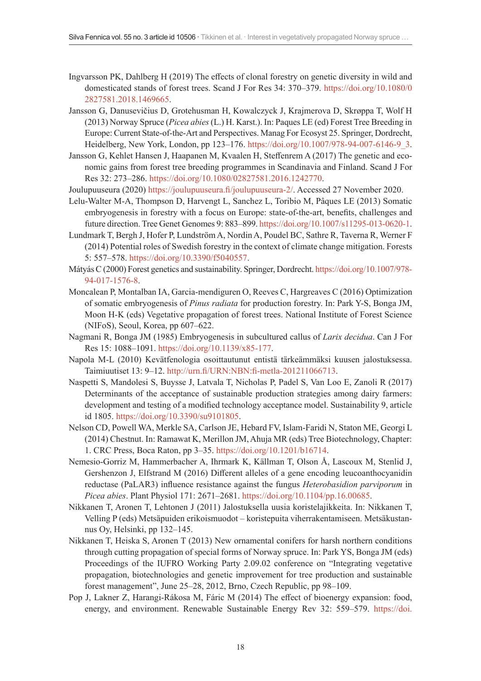- Ingvarsson PK, Dahlberg H (2019) The effects of clonal forestry on genetic diversity in wild and domesticated stands of forest trees. Scand J For Res 34: 370–379. [https://doi.org/10.1080/0](https://doi.org/10.1080/02827581.2018.1469665) [2827581.2018.1469665](https://doi.org/10.1080/02827581.2018.1469665).
- Jansson G, Danusevičius D, Grotehusman H, Kowalczyck J, Krajmerova D, Skrøppa T, Wolf H (2013) Norway Spruce (*Picea abies* (L.) H. Karst.). In: Paques LE (ed) Forest Tree Breeding in Europe: Current State-of-the-Art and Perspectives. Manag For Ecosyst 25. Springer, Dordrecht, Heidelberg, New York, London, pp 123–176. [https://doi.org/10.1007/978-94-007-6146-9\\_3](https://doi.org/10.1007/978-94-007-6146-9_3).
- Jansson G, Kehlet Hansen J, Haapanen M, Kvaalen H, Steffenrem A (2017) The genetic and economic gains from forest tree breeding programmes in Scandinavia and Finland. Scand J For Res 32: 273–286. [https://doi.org/10.1080/02827581.2016.1242770.](https://doi.org/10.1080/02827581.2016.1242770)

Joulupuuseura (2020) <https://joulupuuseura.fi/joulupuuseura-2/>. Accessed 27 November 2020.

- Lelu-Walter M-A, Thompson D, Harvengt L, Sanchez L, Toribio M, Pâques LE (2013) Somatic embryogenesis in forestry with a focus on Europe: state-of-the-art, benefits, challenges and future direction. Tree Genet Genomes 9: 883–899.<https://doi.org/10.1007/s11295-013-0620-1>.
- Lundmark T, Bergh J, Hofer P, Lundström A, Nordin A, Poudel BC, Sathre R, Taverna R, Werner F (2014) Potential roles of Swedish forestry in the context of climate change mitigation. Forests 5: 557–578.<https://doi.org/10.3390/f5040557>.
- Mátyás C (2000) Forest genetics and sustainability. Springer, Dordrecht. [https://doi.org/10.1007/978-](https://doi.org/10.1007/978-94-017-1576-8) [94-017-1576-8.](https://doi.org/10.1007/978-94-017-1576-8)
- Moncalean P, Montalban IA, Garcia-mendiguren O, Reeves C, Hargreaves C (2016) Optimization of somatic embryogenesis of *Pinus radiata* for production forestry. In: Park Y-S, Bonga JM, Moon H-K (eds) Vegetative propagation of forest trees. National Institute of Forest Science (NIFoS), Seoul, Korea, pp 607–622.
- Nagmani R, Bonga JM (1985) Embryogenesis in subcultured callus of *Larix decidua*. Can J For Res 15: 1088–1091. [https://doi.org/10.1139/x85-177.](https://doi.org/10.1139/x85-177)
- Napola M-L (2010) Kevätfenologia osoittautunut entistä tärkeämmäksi kuusen jalostuksessa. Taimiuutiset 13: 9–12. <http://urn.fi/URN:NBN:fi-metla-201211066713>.
- Naspetti S, Mandolesi S, Buysse J, Latvala T, Nicholas P, Padel S, Van Loo E, Zanoli R (2017) Determinants of the acceptance of sustainable production strategies among dairy farmers: development and testing of a modified technology acceptance model. Sustainability 9, article id 1805. [https://doi.org/10.3390/su9101805.](https://doi.org/10.3390/su9101805)
- Nelson CD, Powell WA, Merkle SA, Carlson JE, Hebard FV, Islam-Faridi N, Staton ME, Georgi L (2014) Chestnut. In: Ramawat K, Merillon JM, Ahuja MR (eds) Tree Biotechnology, Chapter: 1. CRC Press, Boca Raton, pp 3–35. <https://doi.org/10.1201/b16714>.
- Nemesio-Gorriz M, Hammerbacher A, Ihrmark K, Källman T, Olson Å, Lascoux M, Stenlid J, Gershenzon J, Elfstrand M (2016) Different alleles of a gene encoding leucoanthocyanidin reductase (PaLAR3) influence resistance against the fungus *Heterobasidion parviporum* in *Picea abies*. Plant Physiol 171: 2671–2681. <https://doi.org/10.1104/pp.16.00685>.
- Nikkanen T, Aronen T, Lehtonen J (2011) Jalostuksella uusia koristelajikkeita. In: Nikkanen T, Velling P (eds) Metsäpuiden erikoismuodot – koristepuita viherrakentamiseen. Metsäkustannus Oy, Helsinki, pp 132–145.
- Nikkanen T, Heiska S, Aronen T (2013) New ornamental conifers for harsh northern conditions through cutting propagation of special forms of Norway spruce. In: Park YS, Bonga JM (eds) Proceedings of the IUFRO Working Party 2.09.02 conference on "Integrating vegetative propagation, biotechnologies and genetic improvement for tree production and sustainable forest management", June 25–28, 2012, Brno, Czech Republic, pp 98–109.
- Pop J, Lakner Z, Harangi-Rákosa M, Fáric M (2014) The effect of bioenergy expansion: food, energy, and environment. Renewable Sustainable Energy Rev 32: 559–579. [https://doi.](https://doi.org/10.1016/j.rser.2014.01.056)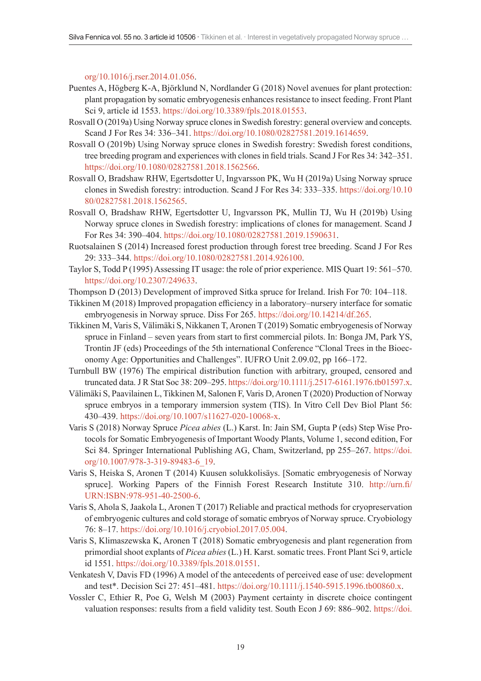[org/10.1016/j.rser.2014.01.056.](https://doi.org/10.1016/j.rser.2014.01.056)

- Puentes A, Högberg K-A, Björklund N, Nordlander G (2018) Novel avenues for plant protection: plant propagation by somatic embryogenesis enhances resistance to insect feeding. Front Plant Sci 9, article id 1553. [https://doi.org/10.3389/fpls.2018.01553.](https://doi.org/10.3389/fpls.2018.01553)
- Rosvall O (2019a) Using Norway spruce clones in Swedish forestry: general overview and concepts. Scand J For Res 34: 336–341. <https://doi.org/10.1080/02827581.2019.1614659>.
- Rosvall O (2019b) Using Norway spruce clones in Swedish forestry: Swedish forest conditions, tree breeding program and experiences with clones in field trials. Scand J For Res 34: 342–351. [https://doi.org/10.1080/02827581.2018.1562566.](https://doi.org/10.1080/02827581.2018.1562566)
- Rosvall O, Bradshaw RHW, Egertsdotter U, Ingvarsson PK, Wu H (2019a) Using Norway spruce clones in Swedish forestry: introduction. Scand J For Res 34: 333–335. [https://doi.org/10.10](https://doi.org/10.1080/02827581.2018.1562565) [80/02827581.2018.1562565.](https://doi.org/10.1080/02827581.2018.1562565)
- Rosvall O, Bradshaw RHW, Egertsdotter U, Ingvarsson PK, Mullin TJ, Wu H (2019b) Using Norway spruce clones in Swedish forestry: implications of clones for management. Scand J For Res 34: 390–404. [https://doi.org/10.1080/02827581.2019.1590631.](https://doi.org/10.1080/02827581.2019.1590631)
- Ruotsalainen S (2014) Increased forest production through forest tree breeding. Scand J For Res 29: 333–344. [https://doi.org/10.1080/02827581.2014.926100.](https://doi.org/10.1080/02827581.2014.926100)
- Taylor S, Todd P (1995) Assessing IT usage: the role of prior experience. MIS Quart 19: 561–570. [https://doi.org/10.2307/249633.](https://doi.org/10.2307/249633)
- Thompson D (2013) Development of improved Sitka spruce for Ireland. Irish For 70: 104–118.
- Tikkinen M (2018) Improved propagation efficiency in a laboratory–nursery interface for somatic embryogenesis in Norway spruce. Diss For 265. <https://doi.org/10.14214/df.265>.
- Tikkinen M, Varis S, Välimäki S, Nikkanen T, Aronen T (2019) Somatic embryogenesis of Norway spruce in Finland – seven years from start to first commercial pilots. In: Bonga JM, Park YS, Trontin JF (eds) Proceedings of the 5th international Conference "Clonal Trees in the Bioeconomy Age: Opportunities and Challenges". IUFRO Unit 2.09.02, pp 166–172.
- Turnbull BW (1976) The empirical distribution function with arbitrary, grouped, censored and truncated data. J R Stat Soc 38: 209–295.<https://doi.org/10.1111/j.2517-6161.1976.tb01597.x>.
- Välimäki S, Paavilainen L, Tikkinen M, Salonen F, Varis D, Aronen T (2020) Production of Norway spruce embryos in a temporary immersion system (TIS). In Vitro Cell Dev Biol Plant 56: 430–439. <https://doi.org/10.1007/s11627-020-10068-x>.
- Varis S (2018) Norway Spruce *Picea abies* (L.) Karst. In: Jain SM, Gupta P (eds) Step Wise Protocols for Somatic Embryogenesis of Important Woody Plants, Volume 1, second edition, For Sci 84. Springer International Publishing AG, Cham, Switzerland, pp 255–267. [https://doi.](https://doi.org/10.1007/978-3-319-89483-6_19) [org/10.1007/978-3-319-89483-6\\_19.](https://doi.org/10.1007/978-3-319-89483-6_19)
- Varis S, Heiska S, Aronen T (2014) Kuusen solukkolisäys. [Somatic embryogenesis of Norway spruce]. Working Papers of the Finnish Forest Research Institute 310. [http://urn.fi/](http://urn.fi/URN:ISBN:978-951-40-2500-6) [URN:ISBN:978-951-40-2500-6](http://urn.fi/URN:ISBN:978-951-40-2500-6).
- Varis S, Ahola S, Jaakola L, Aronen T (2017) Reliable and practical methods for cryopreservation of embryogenic cultures and cold storage of somatic embryos of Norway spruce. Cryobiology 76: 8–17.<https://doi.org/10.1016/j.cryobiol.2017.05.004>.
- Varis S, Klimaszewska K, Aronen T (2018) Somatic embryogenesis and plant regeneration from primordial shoot explants of *Picea abies* (L.) H. Karst. somatic trees. Front Plant Sci 9, article id 1551. [https://doi.org/10.3389/fpls.2018.01551.](https://doi.org/10.3389/fpls.2018.01551)
- Venkatesh V, Davis FD (1996) A model of the antecedents of perceived ease of use: development and test\*. Decision Sci 27: 451–481. [https://doi.org/10.1111/j.1540-5915.1996.tb00860.x.](https://doi.org/10.1111/j.1540-5915.1996.tb00860.x)
- Vossler C, Ethier R, Poe G, Welsh M (2003) Payment certainty in discrete choice contingent valuation responses: results from a field validity test. South Econ J 69: 886–902. [https://doi.](https://doi.org/10.2307/1061656)